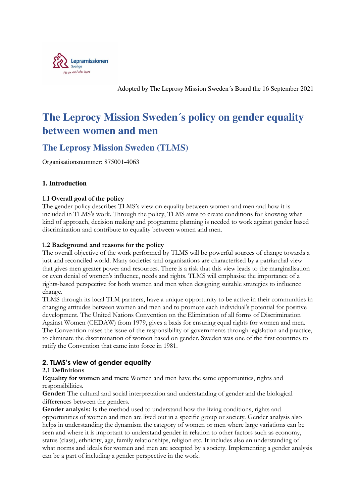

Adopted by The Leprosy Mission Sweden´s Board the 16 September 2021

# **The Leprocy Mission Sweden´s policy on gender equality between women and men**

### **The Leprosy Mission Sweden (TLMS)**

Organisationsnummer: 875001-4063

#### **1. Introduction**

#### **1.1 Overall goal of the policy**

The gender policy describes TLMS's view on equality between women and men and how it is included in TLMS's work. Through the policy, TLMS aims to create conditions for knowing what kind of approach, decision making and programme planning is needed to work against gender based discrimination and contribute to equality between women and men.

#### **1.2 Background and reasons for the policy**

The overall objective of the work performed by TLMS will be powerful sources of change towards a just and reconciled world. Many societies and organisations are characterised by a patriarchal view that gives men greater power and resources. There is a risk that this view leads to the marginalisation or even denial of women's influence, needs and rights. TLMS will emphasise the importance of a rights-based perspective for both women and men when designing suitable strategies to influence change.

TLMS through its local TLM partners, have a unique opportunity to be active in their communities in changing attitudes between women and men and to promote each individual's potential for positive development. The United Nations Convention on the Elimination of all forms of Discrimination Against Women (CEDAW) from 1979, gives a basis for ensuring equal rights for women and men. The Convention raises the issue of the responsibility of governments through legislation and practice, to eliminate the discrimination of women based on gender. Sweden was one of the first countries to ratify the Convention that came into force in 1981.

#### **2. TLMS's view of gender equality**

#### **2.1 Definitions**

**Equality for women and men:** Women and men have the same opportunities, rights and responsibilities.

Gender: The cultural and social interpretation and understanding of gender and the biological differences between the genders.

Gender analysis: Is the method used to understand how the living conditions, rights and opportunities of women and men are lived out in a specific group or society. Gender analysis also helps in understanding the dynamism the category of women or men where large variations can be seen and where it is important to understand gender in relation to other factors such as economy, status (class), ethnicity, age, family relationships, religion etc. It includes also an understanding of what norms and ideals for women and men are accepted by a society. Implementing a gender analysis can be a part of including a gender perspective in the work.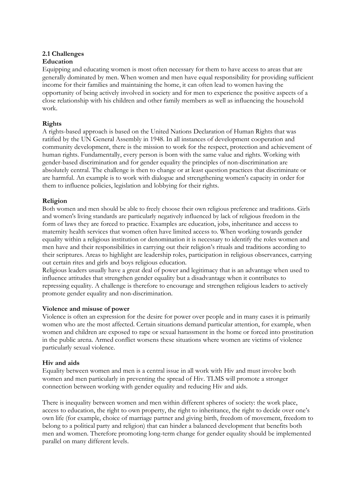## **2.1 Challenges**

#### **Education**

Equipping and educating women is most often necessary for them to have access to areas that are generally dominated by men. When women and men have equal responsibility for providing sufficient income for their families and maintaining the home, it can often lead to women having the opportunity of being actively involved in society and for men to experience the positive aspects of a close relationship with his children and other family members as well as influencing the household work.

#### **Rights**

A rights-based approach is based on the United Nations Declaration of Human Rights that was ratified by the UN General Assembly in 1948. In all instances of development cooperation and community development, there is the mission to work for the respect, protection and achievement of human rights. Fundamentally, every person is born with the same value and rights. Working with gender-based discrimination and for gender equality the principles of non-discrimination are absolutely central. The challenge is then to change or at least question practices that discriminate or are harmful. An example is to work with dialogue and strengthening women's capacity in order for them to influence policies, legislation and lobbying for their rights.

#### **Religion**

Both women and men should be able to freely choose their own religious preference and traditions. Girls and women's living standards are particularly negatively influenced by lack of religious freedom in the form of laws they are forced to practice. Examples are education, jobs, inheritance and access to maternity health services that women often have limited access to. When working towards gender equality within a religious institution or denomination it is necessary to identify the roles women and men have and their responsibilities in carrying out their religion's rituals and traditions according to their scriptures. Areas to highlight are leadership roles, participation in religious observances, carrying out certain rites and girls and boys religious education.

Religious leaders usually have a great deal of power and legitimacy that is an advantage when used to influence attitudes that strengthen gender equality but a disadvantage when it contributes to repressing equality. A challenge is therefore to encourage and strengthen religious leaders to actively promote gender equality and non-discrimination.

#### **Violence and misuse of power**

Violence is often an expression for the desire for power over people and in many cases it is primarily women who are the most affected. Certain situations demand particular attention, for example, when women and children are exposed to rape or sexual harassment in the home or forced into prostitution in the public arena. Armed conflict worsens these situations where women are victims of violence particularly sexual violence.

#### **Hiv and aids**

Equality between women and men is a central issue in all work with Hiv and must involve both women and men particularly in preventing the spread of Hiv. TLMS will promote a stronger connection between working with gender equality and reducing Hiv and aids.

There is inequality between women and men within different spheres of society: the work place, access to education, the right to own property, the right to inheritance, the right to decide over one's own life (for example, choice of marriage partner and giving birth, freedom of movement, freedom to belong to a political party and religion) that can hinder a balanced development that benefits both men and women. Therefore promoting long-term change for gender equality should be implemented parallel on many different levels.